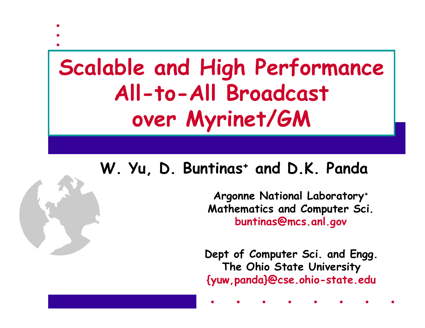# **Scalable and High Performance All-to-All Broadcast over Myrinet/GM**

#### **W. Yu, D. Buntinas + and D.K. Panda**

**Argonne National Laboratory + Mathematics and Computer Sci. buntinas@mcs.anl.gov**

**Dept of Computer Sci. and Engg. The Ohio State University {yuw,panda}@cse.ohio-state.edu**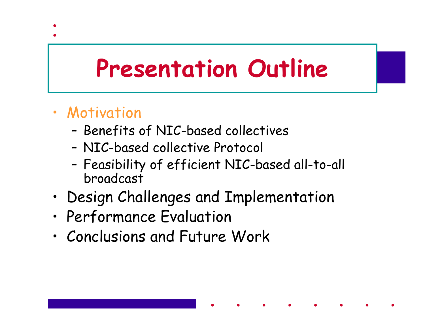# **Presentation Outline**

- Motivation
	- –Benefits of NIC-based collectives
	- NIC-based collective Protocol
	- – Feasibility of efficient NIC-based all-to-all broadcast
- •Design Challenges and Implementation
- •Performance Evaluation
- •Conclusions and Future Work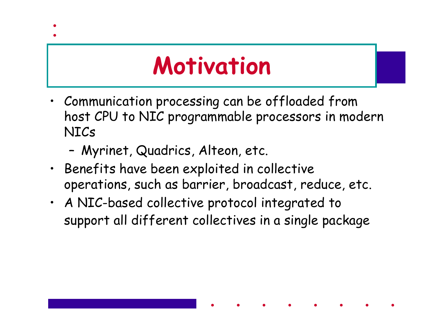# **Motivation**

- Communication processing can be offloaded from host CPU to NIC programmable processors in modern NICs
	- –Myrinet, Quadrics, Alteon, etc.
- Benefits have been exploited in collective operations, such as barrier, broadcast, reduce, etc.
- A NIC-based collective protocol integrated to support all different collectives in a single package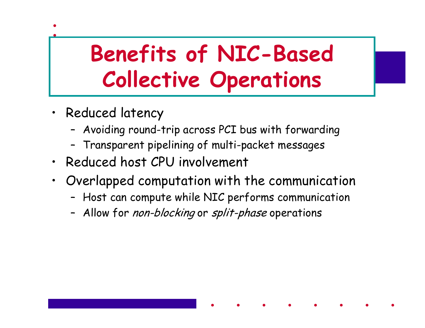## **Benefits of NIC-Based Collective Operations**

- Reduced latency
	- –Avoiding round-trip across PCI bus with forwarding
	- –Transparent pipelining of multi-packet messages
- Reduced host CPU involvement
- Overlapped computation with the communication
	- –Host can compute while NIC performs communication
	- –Allow for *non-blocking* or *split-phase* operations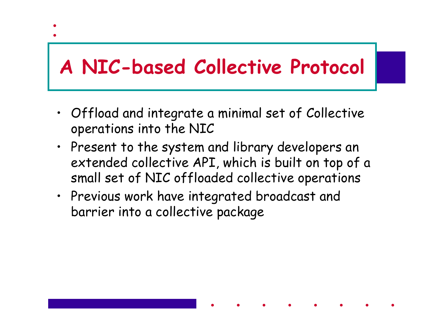#### **A NIC-based Collective Protocol**

- Offload and integrate a minimal set of Collective operations into the NIC
- Present to the system and library developers an extended collective API, which is built on top of a small set of NIC offloaded collective operations
- Previous work have integrated broadcast and barrier into a collective package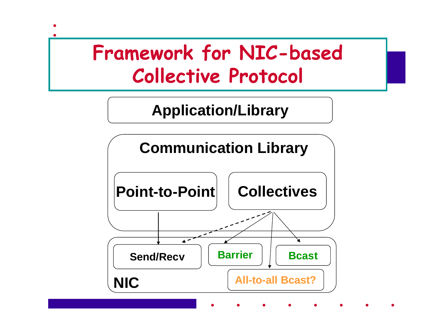#### **Framework for NIC-based Collective Protocol**

#### **Application/Library**

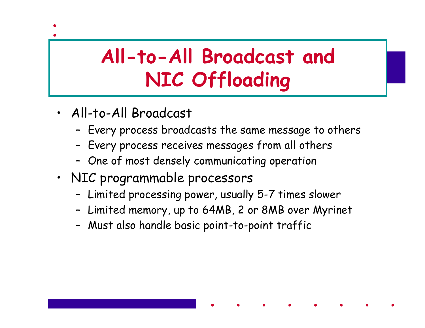#### **All-to-All Broadcast and NIC Offloading**

- All-to-All Broadcast
	- Every process broadcasts the same message to others
	- –Every process receives messages from all others
	- –One of most densely communicating operation
- NIC programmable processors
	- –Limited processing power, usually 5-7 times slower
	- –Limited memory, up to 64MB, 2 or 8MB over Myrinet
	- –Must also handle basic point-to-point traffic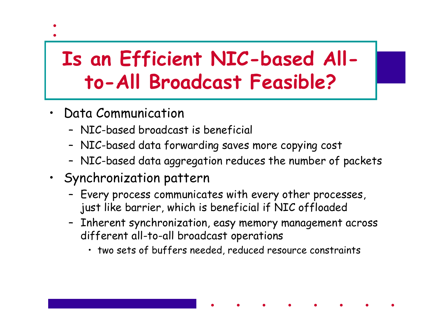#### **Is an Efficient NIC-based Allto-All Broadcast Feasible?**

- Data Communication
	- NIC-based broadcast is beneficial
	- –NIC-based data forwarding saves more copying cost
	- –NIC-based data aggregation reduces the number of packets
- Synchronization pattern
	- – Every process communicates with every other processes, just like barrier, which is beneficial if NIC offloaded
	- – Inherent synchronization, easy memory management across different all-to-all broadcast operations
		- two sets of buffers needed, reduced resource constraints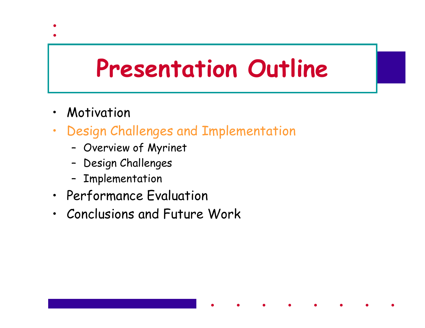# **Presentation Outline**

- $\bullet$ Motivation
- • Design Challenges and Implementation
	- –Overview of Myrinet
	- –Design Challenges
	- –Implementation
- Performance Evaluation
- Conclusions and Future Work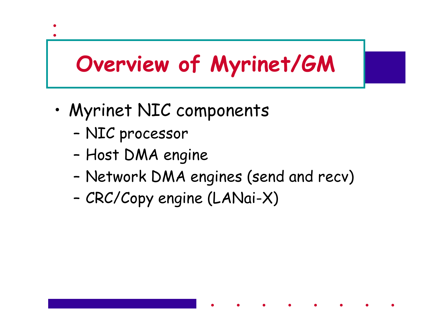### **Overview of Myrinet/GM**

- • Myrinet NIC components
	- –NIC processor
	- –Host DMA engine
	- –Network DMA engines (send and recv)
	- –CRC/Copy engine (LANai-X)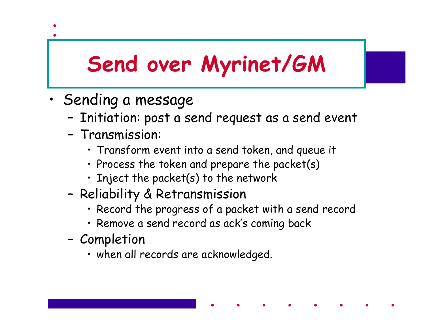## **Send over Myrinet/GM**

- • Sending a message
	- –Initiation: post a send request as a send event
	- Transmission:
		- Transform event into a send token, and queue it
		- Process the token and prepare the packet(s)
		- Inject the packet(s) to the network
	- – Reliability & Retransmission
		- Record the progress of a packet with a send record
		- Remove a send record as ack's coming back
	- – Completion
		- when all records are acknowledged.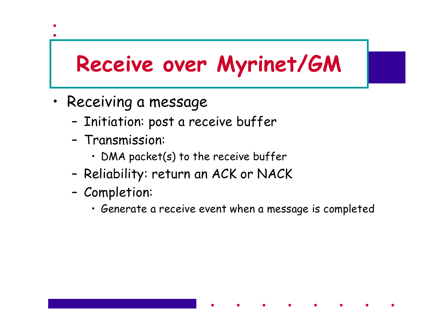#### **Receive over Myrinet/GM**

- Receiving a message
	- –Initiation: post a receive buffer
	- Transmission:
		- DMA packet(s) to the receive buffer
	- –Reliability: return an ACK or NACK
	- – Completion:
		- Generate a receive event when a message is completed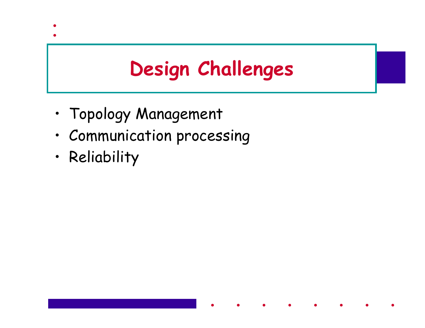#### **Design Challenges**

- •Topology Management
- Communication processing
- •Reliability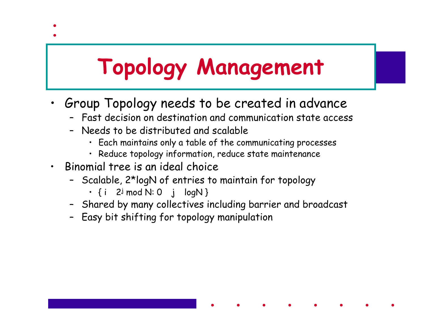# **Topology Management**

- Group Topology needs to be created in advance
	- Fast decision on destination and communication state access
	- Needs to be distributed and scalable
		- Each maintains only a table of the communicating processes
		- Reduce topology information, reduce state maintenance
- • Binomial tree is an ideal choice
	- Scalable, 2\*logN of entries to maintain for topology
		- {i 2<sup>j</sup> mod N: 0 j logN }
	- Shared by many collectives including barrier and broadcast
	- Easy bit shifting for topology manipulation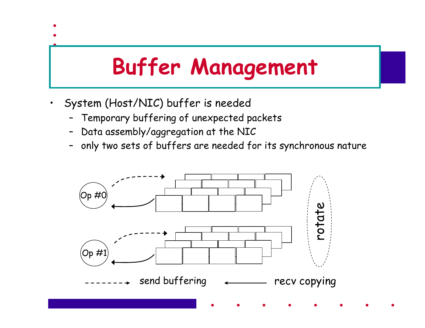# **Buffer Management**

- System (Host/NIC) buffer is needed
	- –Temporary buffering of unexpected packets
	- –Data assembly/aggregation at the NIC
	- –only two sets of buffers are needed for its synchronous nature

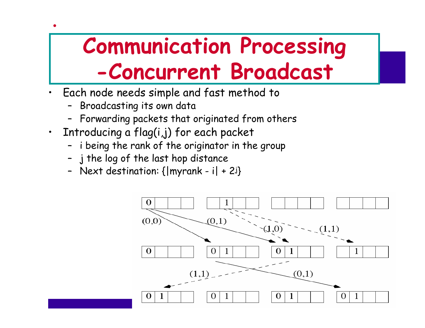## **Communication Processing -Concurrent Broadcast**

- • Each node needs simple and fast method to
	- –Broadcasting its own data
	- Forwarding packets that originated from others
- • Introducing a flag(i,j) for each packet
	- –i being the rank of the originator in the group
	- j the log of the last hop distance
	- –Next destination: {|myrank - i| + 2j }

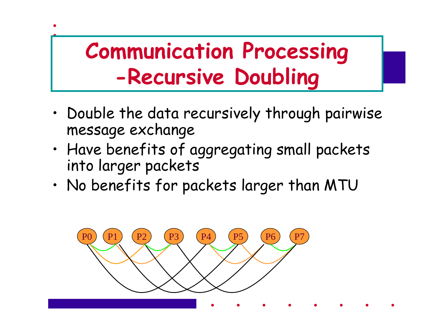### **Communication Processing -Recursive Doubling**

- • Double the data recursively through pairwise message exchange
- • Have benefits of aggregating small packets into larger packets
- •No benefits for packets larger than MTU

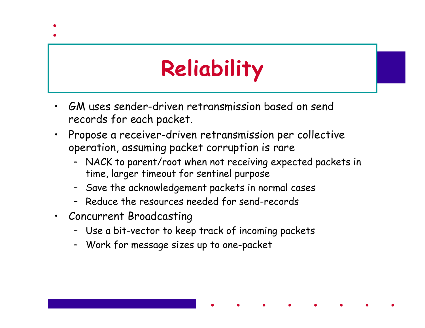# **Reliability**

- • GM uses sender-driven retransmission based on send records for each packet.
- • Propose a receiver-driven retransmission per collective operation, assuming packet corruption is rare
	- NACK to parent/root when not receiving expected packets in time, larger timeout for sentinel purpose
	- Save the acknowledgement packets in normal cases
	- Reduce the resources needed for send-records
- Concurrent Broadcasting
	- Use a bit-vector to keep track of incoming packets
	- Work for message sizes up to one-packet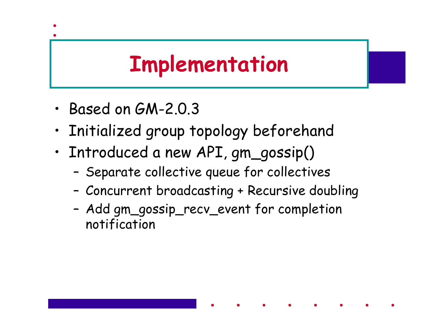#### **Implementation**

- •Based on GM-2.0.3
- •Initialized group topology beforehand
- • Introduced a new API, gm\_gossip()
	- –Separate collective queue for collectives
	- –Concurrent broadcasting + Recursive doubling
	- – Add gm\_gossip\_recv\_event for completion notification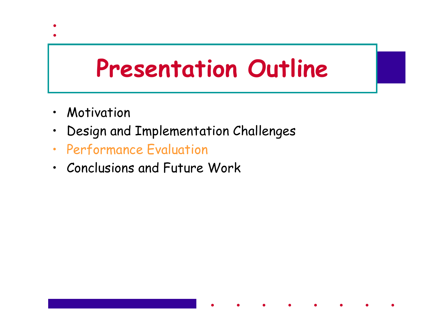# **Presentation Outline**

- •Motivation
- •Design and Implementation Challenges
- •Performance Evaluation
- Conclusions and Future Work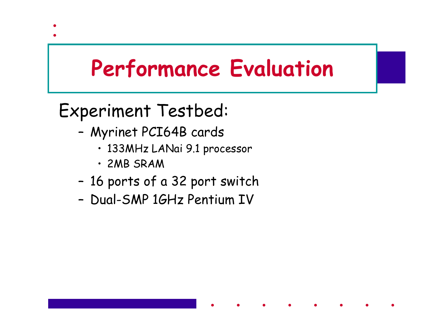#### **Performance Evaluation**

#### Experiment Testbed:

- – Myrinet PCI64B cards
	- 133MHz LANai 9.1 processor
	- 2MB SRAM
- –16 ports of a 32 port switch
- Dual-SMP 1GHz Pentium IV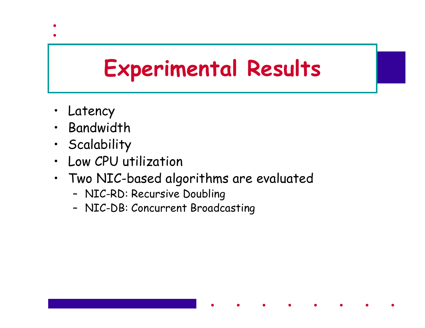#### **Experimental Results**

- Latency
- •Bandwidth
- Scalability
- •Low CPU utilization
- Two NIC-based algorithms are evaluated
	- –NIC-RD: Recursive Doubling
	- –NIC-DB: Concurrent Broadcasting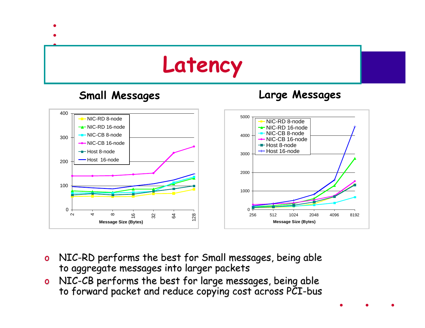

- oNIC-RD performs the best for Small messages, being able<br>to aggregate messages into larger packets
- oNIC-CB performs the best for large messages, being able<br>to forward packet and reduce copying cost across PCI-bus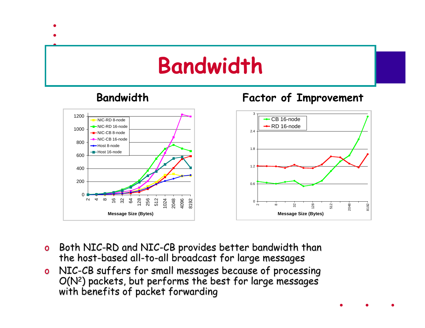#### **Bandwidth**

#### **Bandwidth Factor of Improvement**



- oBoth NIC-RD and NIC-CB provides better bandwidth than<br>the host-based all-to-all broadcast for large messages
- oNIC-CB suffers for small messages because of processing<br>O(N<sup>2</sup>) packets, but performs the best for large messages<br>with benefits of packet forwarding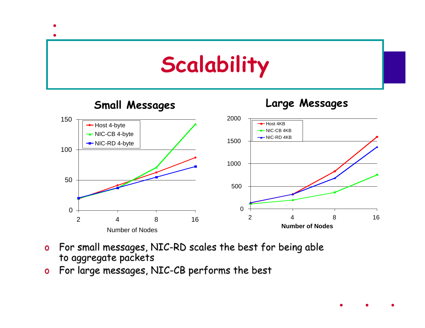

- oFor small messages, NIC-RD scales the best for being able to aggregate packets
- oFor large messages, NIC-CB performs the best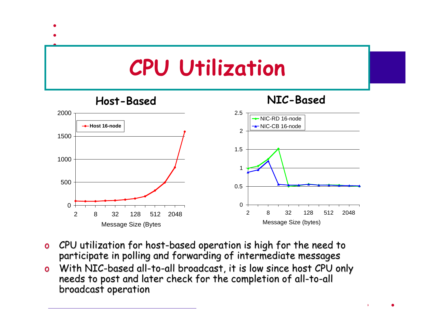

- oo CPU utilization for host-based operation is high for the need to<br>participate in polling and forwarding of intermediate messages
- oo With NIC-based all-to With NIC-based all-to-all broadcast, it is low since host CPU only<br>needs to post and later check for the completion of all-to-all broadcast operation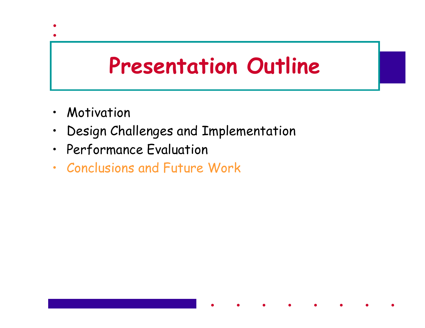#### **Presentation Outline**

- •Motivation
- •Design Challenges and Implementation
- Performance Evaluation
- Conclusions and Future Work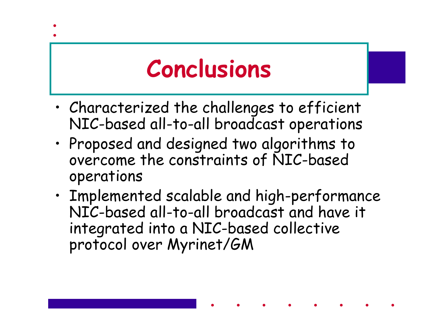# **Conclusions**

- • Characterized the challenges to efficient NIC-based all-to-all broadcast operations
- • Proposed and designed two algorithms to overcome the constraints of NIC-based operations
- • Implemented scalable and high-performance NIC-based all-to-all broadcast and have it integrated into a NIC-based collective protocol over Myrinet/GM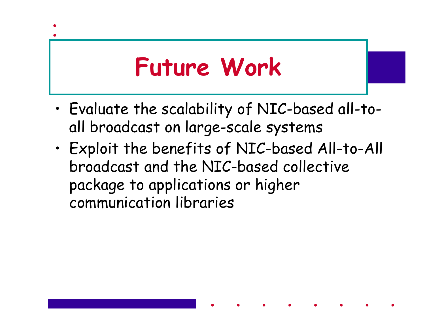# **Future Work**

- • Evaluate the scalability of NIC-based all-toall broadcast on large-scale systems
- • Exploit the benefits of NIC-based All-to-All broadcast and the NIC-based collective package to applications or higher communication libraries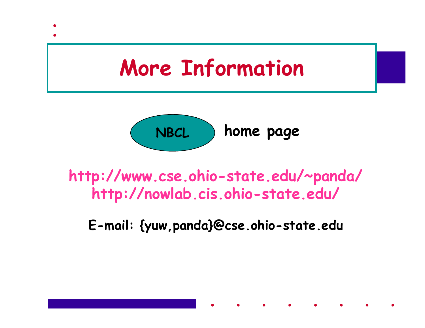



**http://www.cse.ohio-state.edu/~panda/ http://nowlab.cis.ohio-state.edu/**

**E-mail: {yuw,panda}@cse.ohio-state.edu**